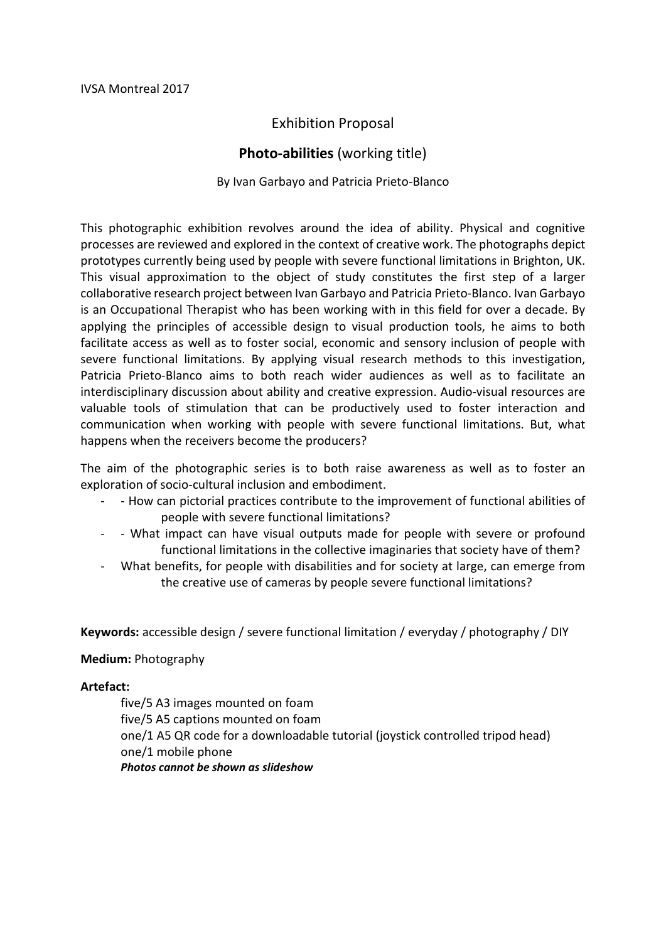# Exhibition Proposal

## **Photo-abilities** (working title)

#### By Ivan Garbayo and Patricia Prieto-Blanco

This photographic exhibition revolves around the idea of ability. Physical and cognitive processes are reviewed and explored in the context of creative work. The photographs depict prototypes currently being used by people with severe functional limitations in Brighton, UK. This visual approximation to the object of study constitutes the first step of a larger collaborative research project between Ivan Garbayo and Patricia Prieto-Blanco. Ivan Garbayo is an Occupational Therapist who has been working with in this field for over a decade. By applying the principles of accessible design to visual production tools, he aims to both facilitate access as well as to foster social, economic and sensory inclusion of people with severe functional limitations. By applying visual research methods to this investigation, Patricia Prieto-Blanco aims to both reach wider audiences as well as to facilitate an interdisciplinary discussion about ability and creative expression. Audio-visual resources are valuable tools of stimulation that can be productively used to foster interaction and communication when working with people with severe functional limitations. But, what happens when the receivers become the producers?

The aim of the photographic series is to both raise awareness as well as to foster an exploration of socio-cultural inclusion and embodiment.

- - How can pictorial practices contribute to the improvement of functional abilities of people with severe functional limitations?
- - What impact can have visual outputs made for people with severe or profound functional limitations in the collective imaginaries that society have of them?
- What benefits, for people with disabilities and for society at large, can emerge from the creative use of cameras by people severe functional limitations?

**Keywords:** accessible design / severe functional limitation / everyday / photography / DIY

#### **Medium:** Photography

#### **Artefact:**

five/5 A3 images mounted on foam five/5 A5 captions mounted on foam one/1 A5 QR code for a downloadable tutorial (joystick controlled tripod head) one/1 mobile phone *Photos cannot be shown as slideshow*